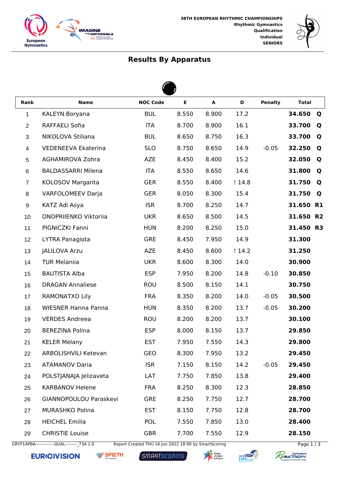



## **Results By Apparatus**

 $\blacktriangle$ 

| Rank           | <b>Name</b>                | <b>NOC Code</b> | E     | $\blacktriangle$ | D     | <b>Penalty</b> | <b>Total</b> |                |  |  |  |
|----------------|----------------------------|-----------------|-------|------------------|-------|----------------|--------------|----------------|--|--|--|
| 1              | KALEYN Boryana             | <b>BUL</b>      | 8.550 | 8.900            | 17.2  |                | 34.650       | $\mathbf Q$    |  |  |  |
| $\overline{c}$ | RAFFAELI Sofia             | <b>ITA</b>      | 8.700 | 8.900            | 16.1  |                | 33.700       | Q              |  |  |  |
| $\sqrt{3}$     | NIKOLOVA Stiliana          | <b>BUL</b>      | 8.650 | 8.750            | 16.3  |                | 33.700       | Q              |  |  |  |
| 4              | <b>VEDENEEVA Ekaterina</b> | <b>SLO</b>      | 8.750 | 8.650            | 14.9  | $-0.05$        | 32.250       | Q              |  |  |  |
| 5              | <b>AGHAMIROVA Zohra</b>    | <b>AZE</b>      | 8.450 | 8.400            | 15.2  |                | 32.050       | Q              |  |  |  |
| 6              | <b>BALDASSARRI Milena</b>  | <b>ITA</b>      | 8.550 | 8.650            | 14.6  |                | 31.800       | Q              |  |  |  |
| $\overline{7}$ | KOLOSOV Margarita          | <b>GER</b>      | 8.550 | 8.400            | !14.8 |                | 31.750       | Q              |  |  |  |
| 8              | <b>VARFOLOMEEV Darja</b>   | <b>GER</b>      | 8.050 | 8.300            | 15.4  |                | 31.750       | Q              |  |  |  |
| 9              | KATZ Adi Asya              | <b>ISR</b>      | 8.700 | 8.250            | 14.7  |                | 31.650       | <b>R1</b>      |  |  |  |
| 10             | ONOPRIIENKO Viktoriia      | <b>UKR</b>      | 8.650 | 8.500            | 14.5  |                | 31.650       | R <sub>2</sub> |  |  |  |
| 11             | PIGNICZKI Fanni            | <b>HUN</b>      | 8.200 | 8.250            | 15.0  |                | 31.450 R3    |                |  |  |  |
| 12             | LYTRA Panagiota            | <b>GRE</b>      | 8.450 | 7.950            | 14.9  |                | 31.300       |                |  |  |  |
| 13             | <b>JALILOVA Arzu</b>       | <b>AZE</b>      | 8.450 | 8.600            | !14.2 |                | 31.250       |                |  |  |  |
| 14             | <b>TUR Melaniia</b>        | <b>UKR</b>      | 8.600 | 8.300            | 14.0  |                | 30.900       |                |  |  |  |
| 15             | <b>BAUTISTA Alba</b>       | <b>ESP</b>      | 7.950 | 8.200            | 14.8  | $-0.10$        | 30.850       |                |  |  |  |
| 16             | <b>DRAGAN Annaliese</b>    | <b>ROU</b>      | 8.500 | 8.150            | 14.1  |                | 30.750       |                |  |  |  |
| 17             | RAMONATXO Lily             | <b>FRA</b>      | 8.350 | 8.200            | 14.0  | $-0.05$        | 30.500       |                |  |  |  |
| 18             | <b>WIESNER Hanna Panna</b> | <b>HUN</b>      | 8.350 | 8.200            | 13.7  | $-0.05$        | 30.200       |                |  |  |  |
| 19             | <b>VERDES Andreea</b>      | <b>ROU</b>      | 8.200 | 8.200            | 13.7  |                | 30.100       |                |  |  |  |
| 20             | <b>BEREZINA Polina</b>     | <b>ESP</b>      | 8.000 | 8.150            | 13.7  |                | 29.850       |                |  |  |  |
| 21             | <b>KELER Melany</b>        | <b>EST</b>      | 7.950 | 7.550            | 14.3  |                | 29.800       |                |  |  |  |
| 22             | ARBOLISHVILI Ketevan       | GEO             | 8.300 | 7.950            | 13.2  |                | 29.450       |                |  |  |  |
| 23             | <b>ATAMANOV Daria</b>      | <b>ISR</b>      | 7.150 | 8.150            | 14.2  | $-0.05$        | 29.450       |                |  |  |  |
| 24             | POLSTJANAJA Jelizaveta     | LAT             | 7.750 | 7.850            | 13.8  |                | 29.400       |                |  |  |  |
| 25             | <b>KARBANOV Helene</b>     | <b>FRA</b>      | 8.250 | 8.300            | 12.3  |                | 28.850       |                |  |  |  |
| 26             | GIANNOPOULOU Paraskevi     | <b>GRE</b>      | 8.250 | 7.750            | 12.7  |                | 28.700       |                |  |  |  |
| 27             | MURASHKO Polina            | <b>EST</b>      | 8.150 | 7.750            | 12.8  |                | 28.700       |                |  |  |  |
| 28             | <b>HEICHEL Emilia</b>      | <b>POL</b>      | 7.550 | 7.850            | 13.0  |                | 28.400       |                |  |  |  |
| 29             | <b>CHRISTIE Louise</b>     | <b>GBR</b>      | 7.700 | 7.550            | 12.9  |                | 28.150       |                |  |  |  |

GRYF1APBA--------------QUAL---------\_73A 1.0 Report Created THU 16 Jun 2022 18:00 by SmartScoring Page 1 / 3

**EURIOVISION W** SPIETH

SMARTSCORING





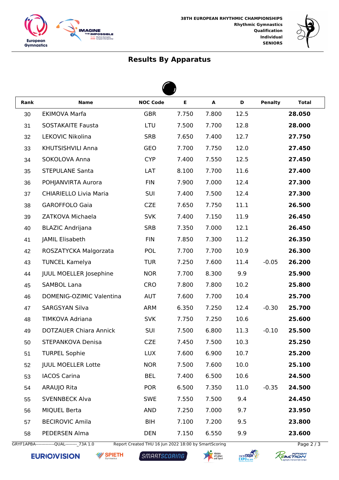



## **Results By Apparatus**

 $\overline{a}$ 

| Rank | <b>Name</b>                   | <b>NOC Code</b> | E     | $\blacktriangle$ | D    | <b>Penalty</b> | <b>Total</b> |  |  |  |  |
|------|-------------------------------|-----------------|-------|------------------|------|----------------|--------------|--|--|--|--|
| 30   | <b>EKIMOVA Marfa</b>          | <b>GBR</b>      | 7.750 | 7.800            | 12.5 |                | 28.050       |  |  |  |  |
| 31   | <b>SOSTAKAITE Fausta</b>      | LTU             | 7.500 | 7.700            | 12.8 |                | 28.000       |  |  |  |  |
| 32   | LEKOVIC Nikolina              | <b>SRB</b>      | 7.650 | 7.400            | 12.7 |                | 27.750       |  |  |  |  |
| 33   | KHUTSISHVILI Anna             | GEO             | 7.700 | 7.750            | 12.0 |                | 27.450       |  |  |  |  |
| 34   | SOKOLOVA Anna                 | <b>CYP</b>      | 7.400 | 7.550            | 12.5 |                | 27.450       |  |  |  |  |
| 35   | <b>STEPULANE Santa</b>        | LAT             | 8.100 | 7.700            | 11.6 |                | 27.400       |  |  |  |  |
| 36   | POHJANVIRTA Aurora            | <b>FIN</b>      | 7.900 | 7.000            | 12.4 |                | 27.300       |  |  |  |  |
| 37   | <b>CHIARIELLO Livia Maria</b> | SUI             | 7.400 | 7.500            | 12.4 |                | 27.300       |  |  |  |  |
| 38   | <b>GAROFFOLO Gaia</b>         | <b>CZE</b>      | 7.650 | 7.750            | 11.1 |                | 26.500       |  |  |  |  |
| 39   | ZATKOVA Michaela              | <b>SVK</b>      | 7.400 | 7.150            | 11.9 |                | 26.450       |  |  |  |  |
| 40   | <b>BLAZIC Andrijana</b>       | <b>SRB</b>      | 7.350 | 7.000            | 12.1 |                | 26.450       |  |  |  |  |
| 41   | JAMIL Elisabeth               | <b>FIN</b>      | 7.850 | 7.300            | 11.2 |                | 26.350       |  |  |  |  |
| 42   | ROSZATYCKA Malgorzata         | <b>POL</b>      | 7.700 | 7.700            | 10.9 |                | 26.300       |  |  |  |  |
| 43   | <b>TUNCEL Kamelya</b>         | <b>TUR</b>      | 7.250 | 7.600            | 11.4 | $-0.05$        | 26.200       |  |  |  |  |
| 44   | <b>JUUL MOELLER Josephine</b> | <b>NOR</b>      | 7.700 | 8.300            | 9.9  |                | 25.900       |  |  |  |  |
| 45   | <b>SAMBOL Lana</b>            | <b>CRO</b>      | 7.800 | 7.800            | 10.2 |                | 25.800       |  |  |  |  |
| 46   | DOMENIG-OZIMIC Valentina      | <b>AUT</b>      | 7.600 | 7.700            | 10.4 |                | 25.700       |  |  |  |  |
| 47   | <b>SARGSYAN Silva</b>         | <b>ARM</b>      | 6.350 | 7.250            | 12.4 | $-0.30$        | 25.700       |  |  |  |  |
| 48   | TIMKOVA Adriana               | <b>SVK</b>      | 7.750 | 7.250            | 10.6 |                | 25.600       |  |  |  |  |
| 49   | <b>DOTZAUER Chiara Annick</b> | SUI             | 7.500 | 6.800            | 11.3 | $-0.10$        | 25.500       |  |  |  |  |
| 50   | STEPANKOVA Denisa             | <b>CZE</b>      | 7.450 | 7.500            | 10.3 |                | 25.250       |  |  |  |  |
| 51   | <b>TURPEL Sophie</b>          | <b>LUX</b>      | 7.600 | 6.900            | 10.7 |                | 25.200       |  |  |  |  |
| 52   | <b>JUUL MOELLER Lotte</b>     | <b>NOR</b>      | 7.500 | 7.600            | 10.0 |                | 25.100       |  |  |  |  |
| 53   | <b>IACOS Carina</b>           | <b>BEL</b>      | 7.400 | 6.500            | 10.6 |                | 24.500       |  |  |  |  |
| 54   | ARAUJO Rita                   | <b>POR</b>      | 6.500 | 7.350            | 11.0 | $-0.35$        | 24.500       |  |  |  |  |
| 55   | <b>SVENNBECK Alva</b>         | <b>SWE</b>      | 7.550 | 7.500            | 9.4  |                | 24.450       |  |  |  |  |
| 56   | <b>MIQUEL Berta</b>           | <b>AND</b>      | 7.250 | 7.000            | 9.7  |                | 23.950       |  |  |  |  |
| 57   | <b>BECIROVIC Amila</b>        | <b>BIH</b>      | 7.100 | 7.200            | 9.5  |                | 23.800       |  |  |  |  |
| 58   | PEDERSEN Alma                 | <b>DEN</b>      | 7.150 | 6.550            | 9.9  |                | 23.600       |  |  |  |  |

GRYF1APBA--------------QUAL---------\_73A 1.0 Report Created THU 16 Jun 2022 18:00 by SmartScoring Page 2 / 3

**EURIOVISION** 

**W** SPIETH

SMARTSCORING